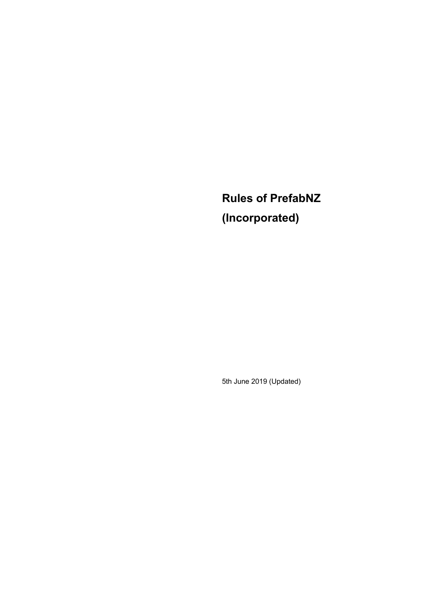**Rules of PrefabNZ (Incorporated)**

5th June 2019 (Updated)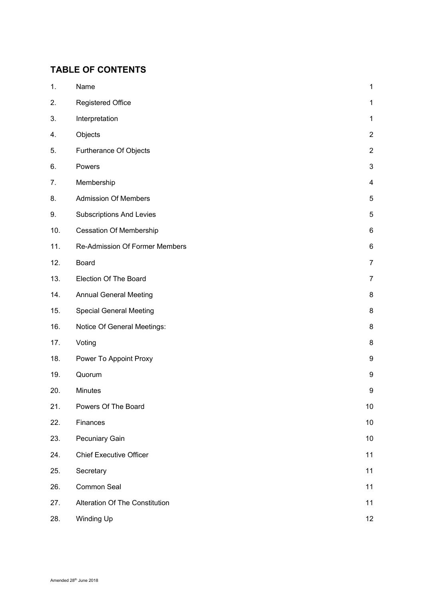# **TABLE OF CONTENTS**

| 1.  | Name                                  | $\mathbf{1}$              |
|-----|---------------------------------------|---------------------------|
| 2.  | <b>Registered Office</b>              | $\mathbf{1}$              |
| 3.  | Interpretation                        | $\mathbf 1$               |
| 4.  | Objects                               | $\boldsymbol{2}$          |
| 5.  | Furtherance Of Objects                | $\boldsymbol{2}$          |
| 6.  | Powers                                | $\ensuremath{\mathsf{3}}$ |
| 7.  | Membership                            | 4                         |
| 8.  | <b>Admission Of Members</b>           | 5                         |
| 9.  | <b>Subscriptions And Levies</b>       | $\mathbf 5$               |
| 10. | <b>Cessation Of Membership</b>        | $\,6$                     |
| 11. | <b>Re-Admission Of Former Members</b> | $\,6$                     |
| 12. | <b>Board</b>                          | $\overline{7}$            |
| 13. | Election Of The Board                 | 7                         |
| 14. | <b>Annual General Meeting</b>         | 8                         |
| 15. | <b>Special General Meeting</b>        | 8                         |
| 16. | Notice Of General Meetings:           | $\bf 8$                   |
| 17. | Voting                                | $\bf 8$                   |
| 18. | Power To Appoint Proxy                | $\boldsymbol{9}$          |
| 19. | Quorum                                | 9                         |
| 20. | Minutes                               | 9                         |
| 21. | Powers Of The Board                   | $10$                      |
| 22. | Finances                              | 10                        |
| 23. | Pecuniary Gain                        | 10                        |
| 24. | <b>Chief Executive Officer</b>        | 11                        |
| 25. | Secretary                             | 11                        |
| 26. | Common Seal                           | 11                        |
| 27. | <b>Alteration Of The Constitution</b> | 11                        |
| 28. | Winding Up                            | 12                        |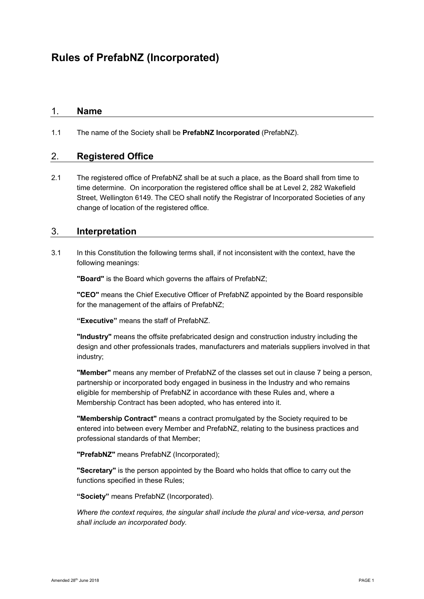# 1. **Name**

1.1 The name of the Society shall be **PrefabNZ Incorporated** (PrefabNZ).

# 2. **Registered Office**

2.1 The registered office of PrefabNZ shall be at such a place, as the Board shall from time to time determine. On incorporation the registered office shall be at Level 2, 282 Wakefield Street, Wellington 6149. The CEO shall notify the Registrar of Incorporated Societies of any change of location of the registered office.

### 3. **Interpretation**

3.1 In this Constitution the following terms shall, if not inconsistent with the context, have the following meanings:

**"Board"** is the Board which governs the affairs of PrefabNZ;

**"CEO"** means the Chief Executive Officer of PrefabNZ appointed by the Board responsible for the management of the affairs of PrefabNZ;

**"Executive"** means the staff of PrefabNZ.

**"Industry"** means the offsite prefabricated design and construction industry including the design and other professionals trades, manufacturers and materials suppliers involved in that industry;

**"Member"** means any member of PrefabNZ of the classes set out in clause 7 being a person, partnership or incorporated body engaged in business in the Industry and who remains eligible for membership of PrefabNZ in accordance with these Rules and, where a Membership Contract has been adopted, who has entered into it.

**"Membership Contract"** means a contract promulgated by the Society required to be entered into between every Member and PrefabNZ, relating to the business practices and professional standards of that Member;

**"PrefabNZ"** means PrefabNZ (Incorporated);

**"Secretary"** is the person appointed by the Board who holds that office to carry out the functions specified in these Rules;

**"Society"** means PrefabNZ (Incorporated).

*Where the context requires, the singular shall include the plural and vice-versa, and person shall include an incorporated body.*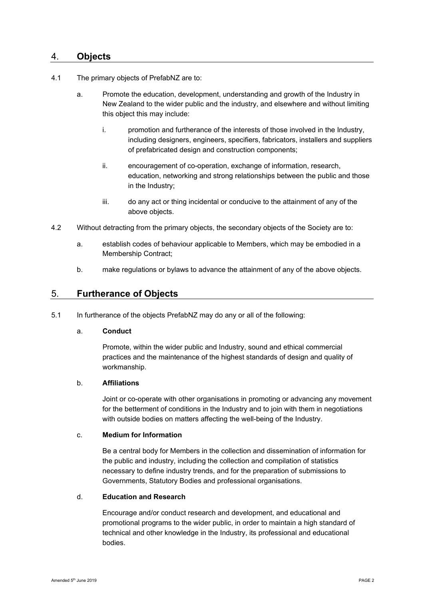### 4. **Objects**

- 4.1 The primary objects of PrefabNZ are to:
	- a. Promote the education, development, understanding and growth of the Industry in New Zealand to the wider public and the industry, and elsewhere and without limiting this object this may include:
		- i. promotion and furtherance of the interests of those involved in the Industry, including designers, engineers, specifiers, fabricators, installers and suppliers of prefabricated design and construction components;
		- ii. encouragement of co-operation, exchange of information, research, education, networking and strong relationships between the public and those in the Industry;
		- iii. do any act or thing incidental or conducive to the attainment of any of the above objects.
- 4.2 Without detracting from the primary objects, the secondary objects of the Society are to:
	- a. establish codes of behaviour applicable to Members, which may be embodied in a Membership Contract;
	- b. make regulations or bylaws to advance the attainment of any of the above objects.

### 5. **Furtherance of Objects**

5.1 In furtherance of the objects PrefabNZ may do any or all of the following:

#### a. **Conduct**

Promote, within the wider public and Industry, sound and ethical commercial practices and the maintenance of the highest standards of design and quality of workmanship.

#### b. **Affiliations**

Joint or co-operate with other organisations in promoting or advancing any movement for the betterment of conditions in the Industry and to join with them in negotiations with outside bodies on matters affecting the well-being of the Industry.

#### c. **Medium for Information**

Be a central body for Members in the collection and dissemination of information for the public and industry, including the collection and compilation of statistics necessary to define industry trends, and for the preparation of submissions to Governments, Statutory Bodies and professional organisations.

#### d. **Education and Research**

Encourage and/or conduct research and development, and educational and promotional programs to the wider public, in order to maintain a high standard of technical and other knowledge in the Industry, its professional and educational bodies.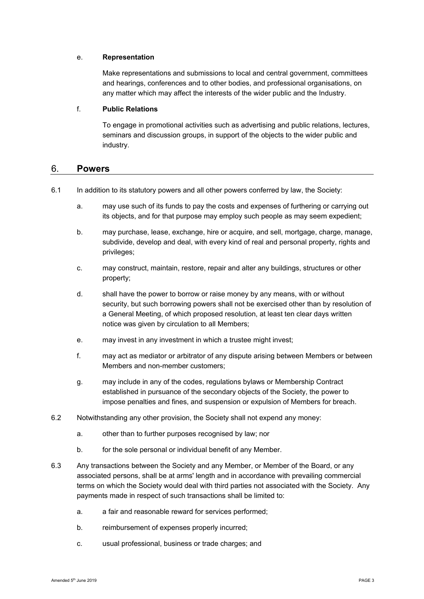#### e. **Representation**

Make representations and submissions to local and central government, committees and hearings, conferences and to other bodies, and professional organisations, on any matter which may affect the interests of the wider public and the Industry.

#### f. **Public Relations**

To engage in promotional activities such as advertising and public relations, lectures, seminars and discussion groups, in support of the objects to the wider public and industry.

#### 6. **Powers**

- 6.1 In addition to its statutory powers and all other powers conferred by law, the Society:
	- a. may use such of its funds to pay the costs and expenses of furthering or carrying out its objects, and for that purpose may employ such people as may seem expedient;
	- b. may purchase, lease, exchange, hire or acquire, and sell, mortgage, charge, manage, subdivide, develop and deal, with every kind of real and personal property, rights and privileges;
	- c. may construct, maintain, restore, repair and alter any buildings, structures or other property;
	- d. shall have the power to borrow or raise money by any means, with or without security, but such borrowing powers shall not be exercised other than by resolution of a General Meeting, of which proposed resolution, at least ten clear days written notice was given by circulation to all Members;
	- e. may invest in any investment in which a trustee might invest;
	- f. may act as mediator or arbitrator of any dispute arising between Members or between Members and non-member customers;
	- g. may include in any of the codes, regulations bylaws or Membership Contract established in pursuance of the secondary objects of the Society, the power to impose penalties and fines, and suspension or expulsion of Members for breach.
- 6.2 Notwithstanding any other provision, the Society shall not expend any money:
	- a. other than to further purposes recognised by law; nor
	- b. for the sole personal or individual benefit of any Member.
- 6.3 Any transactions between the Society and any Member, or Member of the Board, or any associated persons, shall be at arms' length and in accordance with prevailing commercial terms on which the Society would deal with third parties not associated with the Society. Any payments made in respect of such transactions shall be limited to:
	- a. a fair and reasonable reward for services performed;
	- b. reimbursement of expenses properly incurred;
	- c. usual professional, business or trade charges; and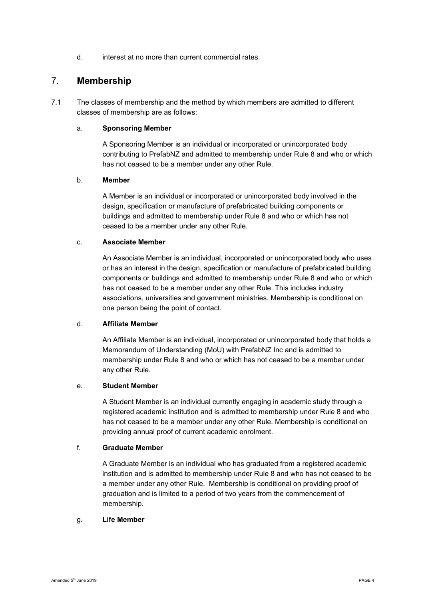d. interest at no more than current commercial rates.

### 7. **Membership**

7.1 The classes of membership and the method by which members are admitted to different classes of membership are as follows:

#### a. **Sponsoring Member**

A Sponsoring Member is an individual or incorporated or unincorporated body contributing to PrefabNZ and admitted to membership under Rule 8 and who or which has not ceased to be a member under any other Rule.

#### b. **Member**

A Member is an individual or incorporated or unincorporated body involved in the design, specification or manufacture of prefabricated building components or buildings and admitted to membership under Rule 8 and who or which has not ceased to be a member under any other Rule.

#### c. **Associate Member**

An Associate Member is an individual, incorporated or unincorporated body who uses or has an interest in the design, specification or manufacture of prefabricated building components or buildings and admitted to membership under Rule 8 and who or which has not ceased to be a member under any other Rule. This includes industry associations, universities and government ministries. Membership is conditional on one person being the point of contact.

#### d. **Affiliate Member**

An Affiliate Member is an individual, incorporated or unincorporated body that holds a Memorandum of Understanding (MoU) with PrefabNZ Inc and is admitted to membership under Rule 8 and who or which has not ceased to be a member under any other Rule.

#### e. **Student Member**

A Student Member is an individual currently engaging in academic study through a registered academic institution and is admitted to membership under Rule 8 and who has not ceased to be a member under any other Rule. Membership is conditional on providing annual proof of current academic enrolment.

#### f. **Graduate Member**

A Graduate Member is an individual who has graduated from a registered academic institution and is admitted to membership under Rule 8 and who has not ceased to be a member under any other Rule. Membership is conditional on providing proof of graduation and is limited to a period of two years from the commencement of membership.

#### g. **Life Member**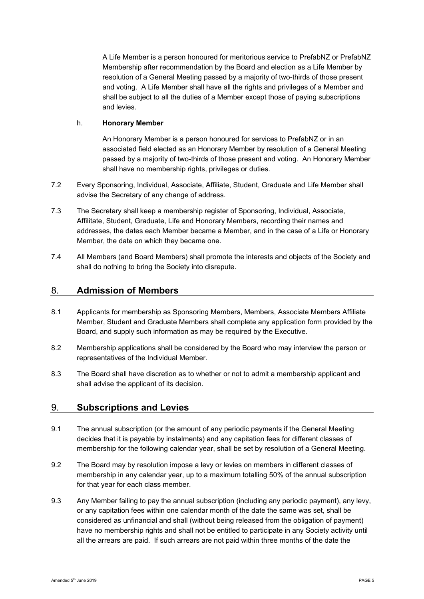A Life Member is a person honoured for meritorious service to PrefabNZ or PrefabNZ Membership after recommendation by the Board and election as a Life Member by resolution of a General Meeting passed by a majority of two-thirds of those present and voting. A Life Member shall have all the rights and privileges of a Member and shall be subject to all the duties of a Member except those of paying subscriptions and levies.

#### h. **Honorary Member**

An Honorary Member is a person honoured for services to PrefabNZ or in an associated field elected as an Honorary Member by resolution of a General Meeting passed by a majority of two-thirds of those present and voting. An Honorary Member shall have no membership rights, privileges or duties.

- 7.2 Every Sponsoring, Individual, Associate, Affiliate, Student, Graduate and Life Member shall advise the Secretary of any change of address.
- 7.3 The Secretary shall keep a membership register of Sponsoring, Individual, Associate, Affilitate, Student, Graduate, Life and Honorary Members, recording their names and addresses, the dates each Member became a Member, and in the case of a Life or Honorary Member, the date on which they became one.
- 7.4 All Members (and Board Members) shall promote the interests and objects of the Society and shall do nothing to bring the Society into disrepute.

# 8. **Admission of Members**

- 8.1 Applicants for membership as Sponsoring Members, Members, Associate Members Affiliate Member, Student and Graduate Members shall complete any application form provided by the Board, and supply such information as may be required by the Executive.
- 8.2 Membership applications shall be considered by the Board who may interview the person or representatives of the Individual Member.
- 8.3 The Board shall have discretion as to whether or not to admit a membership applicant and shall advise the applicant of its decision.

# 9. **Subscriptions and Levies**

- 9.1 The annual subscription (or the amount of any periodic payments if the General Meeting decides that it is payable by instalments) and any capitation fees for different classes of membership for the following calendar year, shall be set by resolution of a General Meeting.
- 9.2 The Board may by resolution impose a levy or levies on members in different classes of membership in any calendar year, up to a maximum totalling 50% of the annual subscription for that year for each class member.
- 9.3 Any Member failing to pay the annual subscription (including any periodic payment), any levy, or any capitation fees within one calendar month of the date the same was set, shall be considered as unfinancial and shall (without being released from the obligation of payment) have no membership rights and shall not be entitled to participate in any Society activity until all the arrears are paid. If such arrears are not paid within three months of the date the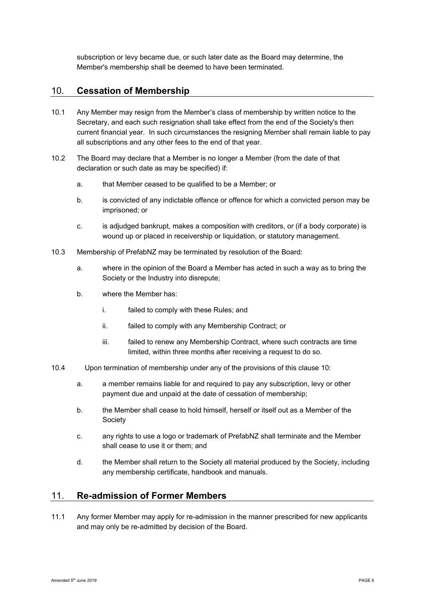subscription or levy became due, or such later date as the Board may determine, the Member's membership shall be deemed to have been terminated.

# 10. **Cessation of Membership**

- 10.1 Any Member may resign from the Member's class of membership by written notice to the Secretary, and each such resignation shall take effect from the end of the Society's then current financial year. In such circumstances the resigning Member shall remain liable to pay all subscriptions and any other fees to the end of that year.
- 10.2 The Board may declare that a Member is no longer a Member (from the date of that declaration or such date as may be specified) if:
	- a. that Member ceased to be qualified to be a Member; or
	- b. is convicted of any indictable offence or offence for which a convicted person may be imprisoned; or
	- c. is adjudged bankrupt, makes a composition with creditors, or (if a body corporate) is wound up or placed in receivership or liquidation, or statutory management.
- 10.3 Membership of PrefabNZ may be terminated by resolution of the Board:
	- a. where in the opinion of the Board a Member has acted in such a way as to bring the Society or the Industry into disrepute;
	- b. where the Member has:
		- i. failed to comply with these Rules; and
		- ii. failed to comply with any Membership Contract; or
		- iii. failed to renew any Membership Contract, where such contracts are time limited, within three months after receiving a request to do so.
- 10.4 Upon termination of membership under any of the provisions of this clause 10:
	- a. a member remains liable for and required to pay any subscription, levy or other payment due and unpaid at the date of cessation of membership;
	- b. the Member shall cease to hold himself, herself or itself out as a Member of the Society
	- c. any rights to use a logo or trademark of PrefabNZ shall terminate and the Member shall cease to use it or them; and
	- d. the Member shall return to the Society all material produced by the Society, including any membership certificate, handbook and manuals.

# 11. **Re-admission of Former Members**

11.1 Any former Member may apply for re-admission in the manner prescribed for new applicants and may only be re-admitted by decision of the Board.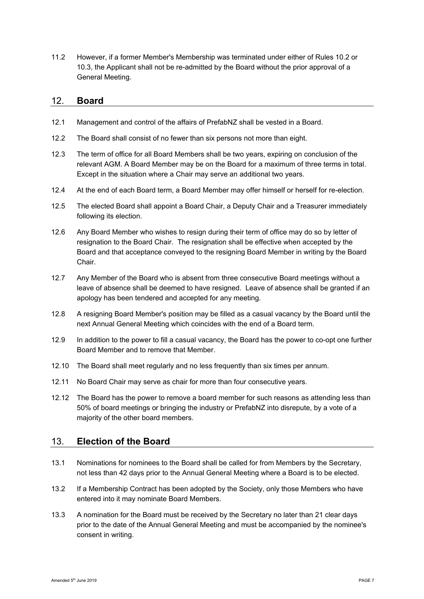11.2 However, if a former Member's Membership was terminated under either of Rules 10.2 or 10.3, the Applicant shall not be re-admitted by the Board without the prior approval of a General Meeting.

#### 12. **Board**

- 12.1 Management and control of the affairs of PrefabNZ shall be vested in a Board.
- 12.2 The Board shall consist of no fewer than six persons not more than eight.
- 12.3 The term of office for all Board Members shall be two years, expiring on conclusion of the relevant AGM. A Board Member may be on the Board for a maximum of three terms in total. Except in the situation where a Chair may serve an additional two years.
- 12.4 At the end of each Board term, a Board Member may offer himself or herself for re-election.
- 12.5 The elected Board shall appoint a Board Chair, a Deputy Chair and a Treasurer immediately following its election.
- 12.6 Any Board Member who wishes to resign during their term of office may do so by letter of resignation to the Board Chair. The resignation shall be effective when accepted by the Board and that acceptance conveyed to the resigning Board Member in writing by the Board Chair.
- 12.7 Any Member of the Board who is absent from three consecutive Board meetings without a leave of absence shall be deemed to have resigned. Leave of absence shall be granted if an apology has been tendered and accepted for any meeting.
- 12.8 A resigning Board Member's position may be filled as a casual vacancy by the Board until the next Annual General Meeting which coincides with the end of a Board term.
- 12.9 In addition to the power to fill a casual vacancy, the Board has the power to co-opt one further Board Member and to remove that Member.
- 12.10 The Board shall meet regularly and no less frequently than six times per annum.
- 12.11 No Board Chair may serve as chair for more than four consecutive years.
- 12.12 The Board has the power to remove a board member for such reasons as attending less than 50% of board meetings or bringing the industry or PrefabNZ into disrepute, by a vote of a majority of the other board members.

# 13. **Election of the Board**

- 13.1 Nominations for nominees to the Board shall be called for from Members by the Secretary, not less than 42 days prior to the Annual General Meeting where a Board is to be elected.
- 13.2 If a Membership Contract has been adopted by the Society, only those Members who have entered into it may nominate Board Members.
- 13.3 A nomination for the Board must be received by the Secretary no later than 21 clear days prior to the date of the Annual General Meeting and must be accompanied by the nominee's consent in writing.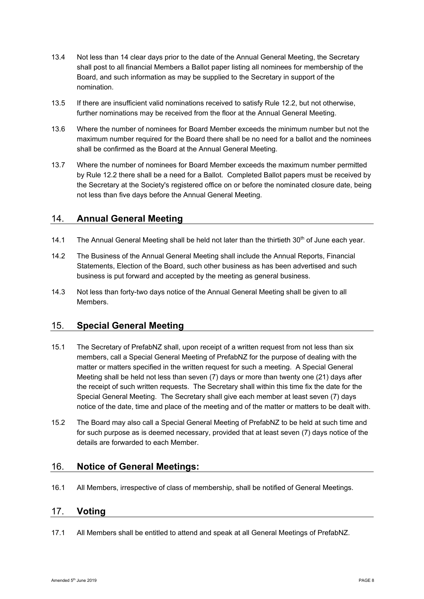- 13.4 Not less than 14 clear days prior to the date of the Annual General Meeting, the Secretary shall post to all financial Members a Ballot paper listing all nominees for membership of the Board, and such information as may be supplied to the Secretary in support of the nomination.
- 13.5 If there are insufficient valid nominations received to satisfy Rule 12.2, but not otherwise, further nominations may be received from the floor at the Annual General Meeting.
- 13.6 Where the number of nominees for Board Member exceeds the minimum number but not the maximum number required for the Board there shall be no need for a ballot and the nominees shall be confirmed as the Board at the Annual General Meeting.
- 13.7 Where the number of nominees for Board Member exceeds the maximum number permitted by Rule 12.2 there shall be a need for a Ballot. Completed Ballot papers must be received by the Secretary at the Society's registered office on or before the nominated closure date, being not less than five days before the Annual General Meeting.

# 14. **Annual General Meeting**

- 14.1 The Annual General Meeting shall be held not later than the thirtieth  $30<sup>th</sup>$  of June each year.
- 14.2 The Business of the Annual General Meeting shall include the Annual Reports, Financial Statements, Election of the Board, such other business as has been advertised and such business is put forward and accepted by the meeting as general business.
- 14.3 Not less than forty-two days notice of the Annual General Meeting shall be given to all Members.

# 15. **Special General Meeting**

- 15.1 The Secretary of PrefabNZ shall, upon receipt of a written request from not less than six members, call a Special General Meeting of PrefabNZ for the purpose of dealing with the matter or matters specified in the written request for such a meeting. A Special General Meeting shall be held not less than seven (7) days or more than twenty one (21) days after the receipt of such written requests. The Secretary shall within this time fix the date for the Special General Meeting. The Secretary shall give each member at least seven (7) days notice of the date, time and place of the meeting and of the matter or matters to be dealt with.
- 15.2 The Board may also call a Special General Meeting of PrefabNZ to be held at such time and for such purpose as is deemed necessary, provided that at least seven (7) days notice of the details are forwarded to each Member.

# 16. **Notice of General Meetings:**

16.1 All Members, irrespective of class of membership, shall be notified of General Meetings.

# 17. **Voting**

17.1 All Members shall be entitled to attend and speak at all General Meetings of PrefabNZ.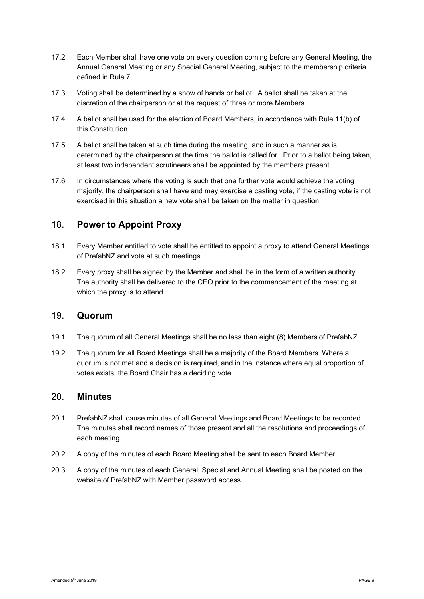- 17.2 Each Member shall have one vote on every question coming before any General Meeting, the Annual General Meeting or any Special General Meeting, subject to the membership criteria defined in Rule 7.
- 17.3 Voting shall be determined by a show of hands or ballot. A ballot shall be taken at the discretion of the chairperson or at the request of three or more Members.
- 17.4 A ballot shall be used for the election of Board Members, in accordance with Rule 11(b) of this Constitution.
- 17.5 A ballot shall be taken at such time during the meeting, and in such a manner as is determined by the chairperson at the time the ballot is called for. Prior to a ballot being taken, at least two independent scrutineers shall be appointed by the members present.
- 17.6 In circumstances where the voting is such that one further vote would achieve the voting majority, the chairperson shall have and may exercise a casting vote, if the casting vote is not exercised in this situation a new vote shall be taken on the matter in question.

# 18. **Power to Appoint Proxy**

- 18.1 Every Member entitled to vote shall be entitled to appoint a proxy to attend General Meetings of PrefabNZ and vote at such meetings.
- 18.2 Every proxy shall be signed by the Member and shall be in the form of a written authority. The authority shall be delivered to the CEO prior to the commencement of the meeting at which the proxy is to attend.

#### 19. **Quorum**

- 19.1 The quorum of all General Meetings shall be no less than eight (8) Members of PrefabNZ.
- 19.2 The quorum for all Board Meetings shall be a majority of the Board Members. Where a quorum is not met and a decision is required, and in the instance where equal proportion of votes exists, the Board Chair has a deciding vote.

#### 20. **Minutes**

- 20.1 PrefabNZ shall cause minutes of all General Meetings and Board Meetings to be recorded. The minutes shall record names of those present and all the resolutions and proceedings of each meeting.
- 20.2 A copy of the minutes of each Board Meeting shall be sent to each Board Member.
- 20.3 A copy of the minutes of each General, Special and Annual Meeting shall be posted on the website of PrefabNZ with Member password access.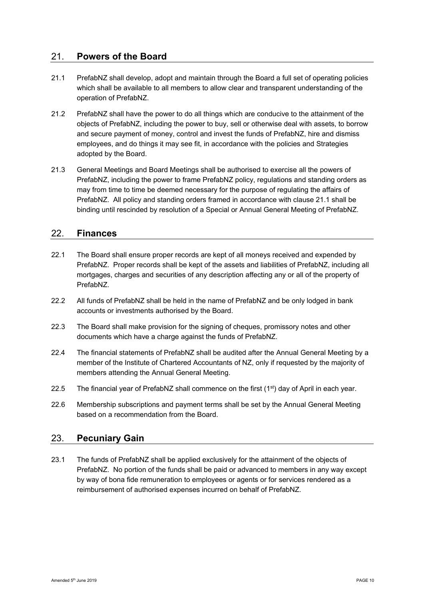# 21. **Powers of the Board**

- 21.1 PrefabNZ shall develop, adopt and maintain through the Board a full set of operating policies which shall be available to all members to allow clear and transparent understanding of the operation of PrefabNZ.
- 21.2 PrefabNZ shall have the power to do all things which are conducive to the attainment of the objects of PrefabNZ, including the power to buy, sell or otherwise deal with assets, to borrow and secure payment of money, control and invest the funds of PrefabNZ, hire and dismiss employees, and do things it may see fit, in accordance with the policies and Strategies adopted by the Board.
- 21.3 General Meetings and Board Meetings shall be authorised to exercise all the powers of PrefabNZ, including the power to frame PrefabNZ policy, regulations and standing orders as may from time to time be deemed necessary for the purpose of regulating the affairs of PrefabNZ. All policy and standing orders framed in accordance with clause 21.1 shall be binding until rescinded by resolution of a Special or Annual General Meeting of PrefabNZ.

# 22. **Finances**

- 22.1 The Board shall ensure proper records are kept of all moneys received and expended by PrefabNZ. Proper records shall be kept of the assets and liabilities of PrefabNZ, including all mortgages, charges and securities of any description affecting any or all of the property of PrefabNZ.
- 22.2 All funds of PrefabNZ shall be held in the name of PrefabNZ and be only lodged in bank accounts or investments authorised by the Board.
- 22.3 The Board shall make provision for the signing of cheques, promissory notes and other documents which have a charge against the funds of PrefabNZ.
- 22.4 The financial statements of PrefabNZ shall be audited after the Annual General Meeting by a member of the Institute of Chartered Accountants of NZ, only if requested by the majority of members attending the Annual General Meeting.
- 22.5 The financial year of PrefabNZ shall commence on the first  $(1<sup>st</sup>)$  day of April in each year.
- 22.6 Membership subscriptions and payment terms shall be set by the Annual General Meeting based on a recommendation from the Board.

# 23. **Pecuniary Gain**

23.1 The funds of PrefabNZ shall be applied exclusively for the attainment of the objects of PrefabNZ. No portion of the funds shall be paid or advanced to members in any way except by way of bona fide remuneration to employees or agents or for services rendered as a reimbursement of authorised expenses incurred on behalf of PrefabNZ.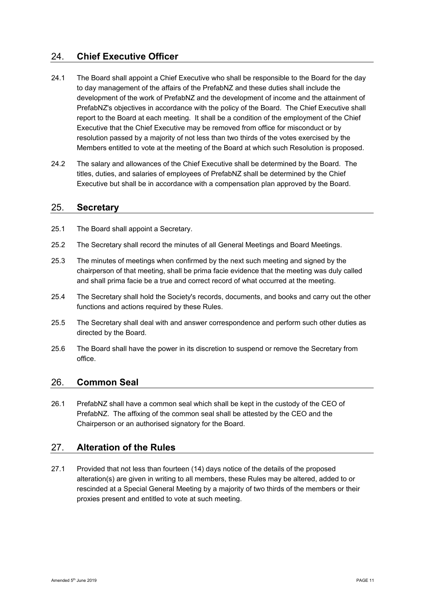# 24. **Chief Executive Officer**

- 24.1 The Board shall appoint a Chief Executive who shall be responsible to the Board for the day to day management of the affairs of the PrefabNZ and these duties shall include the development of the work of PrefabNZ and the development of income and the attainment of PrefabNZ's objectives in accordance with the policy of the Board. The Chief Executive shall report to the Board at each meeting. It shall be a condition of the employment of the Chief Executive that the Chief Executive may be removed from office for misconduct or by resolution passed by a majority of not less than two thirds of the votes exercised by the Members entitled to vote at the meeting of the Board at which such Resolution is proposed.
- 24.2 The salary and allowances of the Chief Executive shall be determined by the Board. The titles, duties, and salaries of employees of PrefabNZ shall be determined by the Chief Executive but shall be in accordance with a compensation plan approved by the Board.

#### 25. **Secretary**

- 25.1 The Board shall appoint a Secretary.
- 25.2 The Secretary shall record the minutes of all General Meetings and Board Meetings.
- 25.3 The minutes of meetings when confirmed by the next such meeting and signed by the chairperson of that meeting, shall be prima facie evidence that the meeting was duly called and shall prima facie be a true and correct record of what occurred at the meeting.
- 25.4 The Secretary shall hold the Society's records, documents, and books and carry out the other functions and actions required by these Rules.
- 25.5 The Secretary shall deal with and answer correspondence and perform such other duties as directed by the Board.
- 25.6 The Board shall have the power in its discretion to suspend or remove the Secretary from office.

# 26. **Common Seal**

26.1 PrefabNZ shall have a common seal which shall be kept in the custody of the CEO of PrefabNZ. The affixing of the common seal shall be attested by the CEO and the Chairperson or an authorised signatory for the Board.

# 27. **Alteration of the Rules**

27.1 Provided that not less than fourteen (14) days notice of the details of the proposed alteration(s) are given in writing to all members, these Rules may be altered, added to or rescinded at a Special General Meeting by a majority of two thirds of the members or their proxies present and entitled to vote at such meeting.